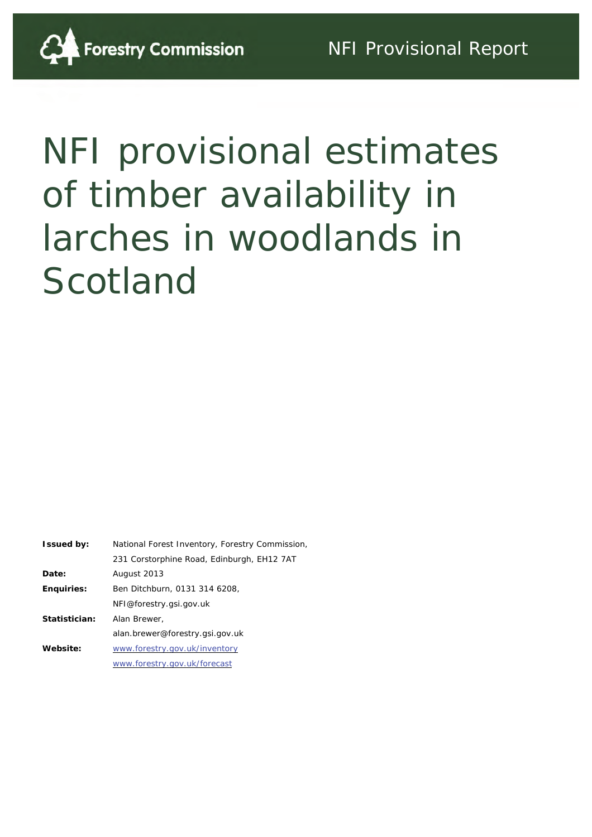

| <b>Issued by:</b> | National Forest Inventory, Forestry Commission, |  |  |
|-------------------|-------------------------------------------------|--|--|
|                   | 231 Corstorphine Road, Edinburgh, EH12 7AT      |  |  |
| Date:             | August 2013                                     |  |  |
| <b>Enquiries:</b> | Ben Ditchburn, 0131 314 6208,                   |  |  |
|                   | NFI@forestry.gsi.gov.uk                         |  |  |
| Statistician:     | Alan Brewer,                                    |  |  |
|                   | alan.brewer@forestry.gsi.gov.uk                 |  |  |
| Website:          | www.forestry.gov.uk/inventory                   |  |  |
|                   | www.forestry.gov.uk/forecast                    |  |  |
|                   |                                                 |  |  |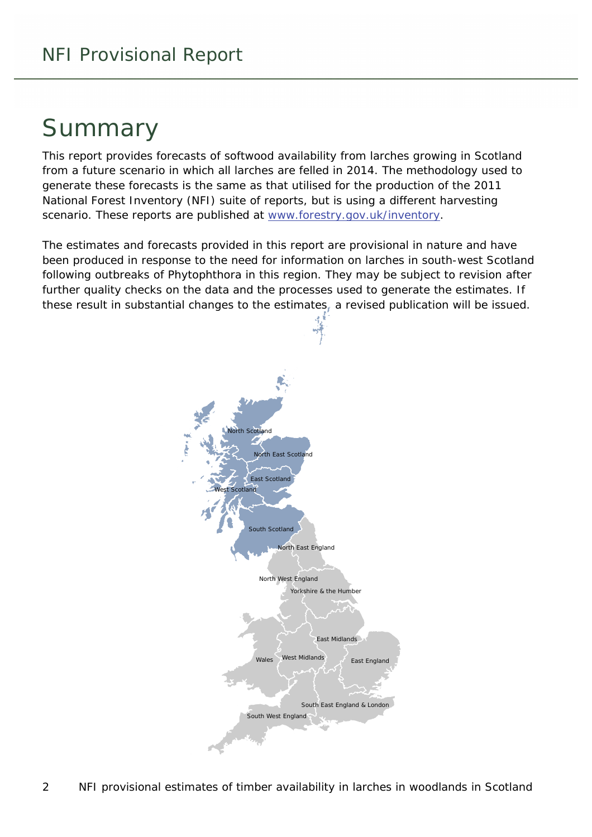### Summary

This report provides forecasts of softwood availability from larches growing in Scotland from a future scenario in which all larches are felled in 2014. The methodology used to generate these forecasts is the same as that utilised for the production of the 2011 National Forest Inventory (NFI) suite of reports, but is using a different harvesting scenario. These reports are published at [www.forestry.gov.uk/inventory](http://www.forestry.gov.uk/inventory).

The estimates and forecasts provided in this report are provisional in nature and have been produced in response to the need for information on larches in south-west Scotland following outbreaks of Phytophthora in this region. They may be subject to revision after further quality checks on the data and the processes used to generate the estimates. If these result in substantial changes to the estimates, a revised publication will be issued.

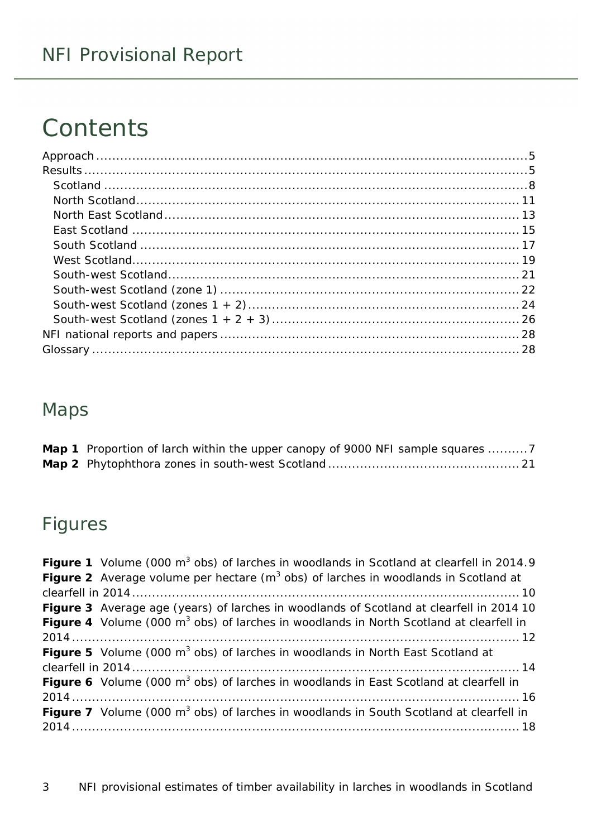#### NFI Provisional Report

# **Contents**

#### Maps

| <b>Map 1</b> Proportion of larch within the upper canopy of 9000 NFI sample squares 7 |
|---------------------------------------------------------------------------------------|
|                                                                                       |

#### Figures

| Figure 1 Volume (000 m <sup>3</sup> obs) of larches in woodlands in Scotland at clearfell in 2014.9       |
|-----------------------------------------------------------------------------------------------------------|
| <b>Figure 2</b> Average volume per hectare $(m^3 \text{ obs})$ of larches in woodlands in Scotland at     |
|                                                                                                           |
| Figure 3 Average age (years) of larches in woodlands of Scotland at clearfell in 2014 10                  |
| <b>Figure 4</b> Volume (000 m <sup>3</sup> obs) of larches in woodlands in North Scotland at clearfell in |
|                                                                                                           |
| Figure 5 Volume (000 m <sup>3</sup> obs) of larches in woodlands in North East Scotland at                |
|                                                                                                           |
| <b>Figure 6</b> Volume (000 m <sup>3</sup> obs) of larches in woodlands in East Scotland at clearfell in  |
|                                                                                                           |
| <b>Figure 7</b> Volume (000 m <sup>3</sup> obs) of larches in woodlands in South Scotland at clearfell in |
|                                                                                                           |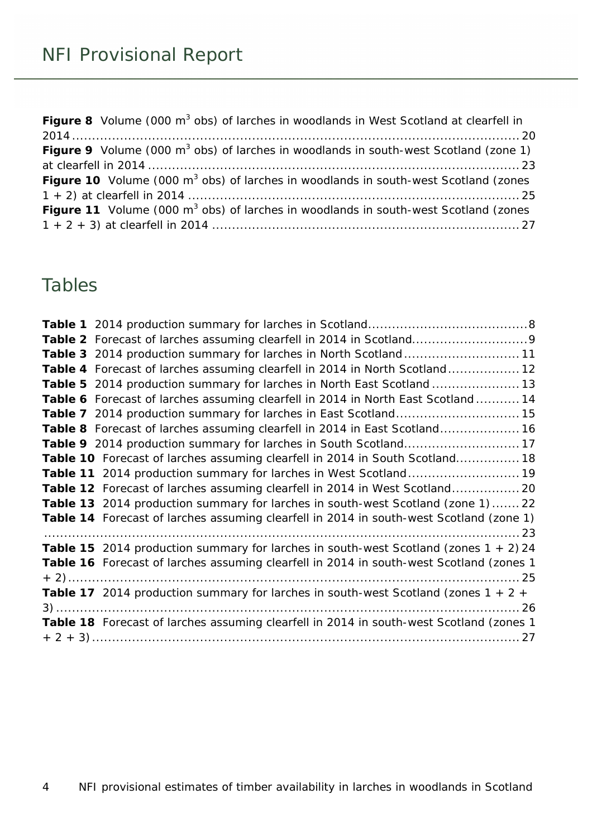| Figure 8 Volume (000 m <sup>3</sup> obs) of larches in woodlands in West Scotland at clearfell in |  |
|---------------------------------------------------------------------------------------------------|--|
|                                                                                                   |  |
| <b>Figure 9</b> Volume (000 $m^3$ obs) of larches in woodlands in south-west Scotland (zone 1)    |  |
|                                                                                                   |  |
| <b>Figure 10</b> Volume (000 $m^3$ obs) of larches in woodlands in south-west Scotland (zones     |  |
|                                                                                                   |  |
| <b>Figure 11</b> Volume (000 $m^3$ obs) of larches in woodlands in south-west Scotland (zones     |  |
|                                                                                                   |  |

#### Tables

| Table 3 2014 production summary for larches in North Scotland11                             |
|---------------------------------------------------------------------------------------------|
| Table 4 Forecast of larches assuming clearfell in 2014 in North Scotland 12                 |
| Table 5 2014 production summary for larches in North East Scotland  13                      |
| Table 6 Forecast of larches assuming clearfell in 2014 in North East Scotland  14           |
| Table 7 2014 production summary for larches in East Scotland 15                             |
| <b>Table 8</b> Forecast of larches assuming clearfell in 2014 in East Scotland 16           |
|                                                                                             |
| Table 10 Forecast of larches assuming clearfell in 2014 in South Scotland 18                |
|                                                                                             |
| Table 12 Forecast of larches assuming clearfell in 2014 in West Scotland 20                 |
| Table 13 2014 production summary for larches in south-west Scotland (zone 1)  22            |
| Table 14 Forecast of larches assuming clearfell in 2014 in south-west Scotland (zone 1)     |
|                                                                                             |
| Table 15 2014 production summary for larches in south-west Scotland (zones $1 + 2$ ) 24     |
| Table 16 Forecast of larches assuming clearfell in 2014 in south-west Scotland (zones 1     |
|                                                                                             |
| <b>Table 17</b> 2014 production summary for larches in south-west Scotland (zones $1 + 2 +$ |
|                                                                                             |
| Table 18 Forecast of larches assuming clearfell in 2014 in south-west Scotland (zones 1     |
|                                                                                             |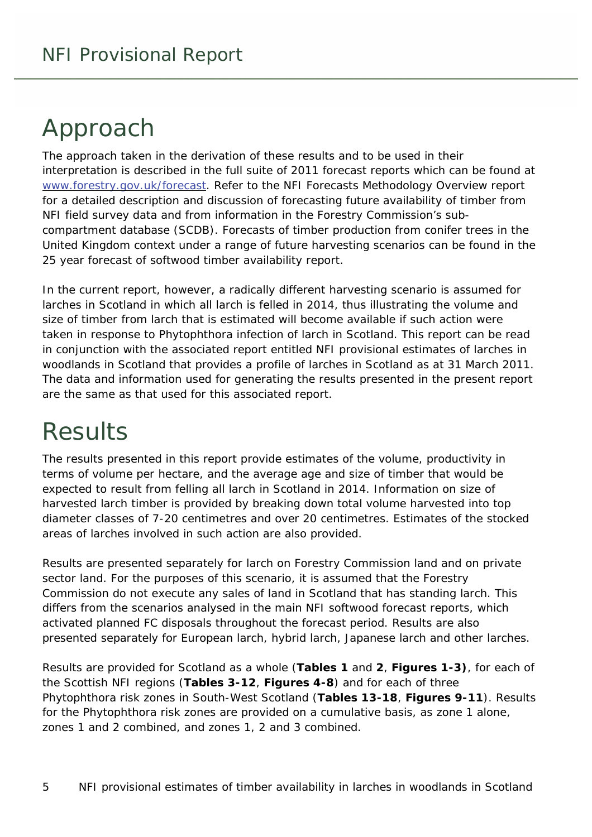# <span id="page-4-0"></span>Approach

The approach taken in the derivation of these results and to be used in their interpretation is described in the full suite of 2011 forecast reports which can be found at [www.forestry.gov.uk/forecast](http://www.forestry.gov.uk/forecast). Refer to the *NFI Forecasts Methodology Overview* report for a detailed description and discussion of forecasting future availability of timber from NFI field survey data and from information in the Forestry Commission's subcompartment database (SCDB). Forecasts of timber production from conifer trees in the United Kingdom context under a range of future harvesting scenarios can be found in the *25 year forecast of softwood timber availability* report.

In the current report, however, a radically different harvesting scenario is assumed for larches in Scotland in which all larch is felled in 2014, thus illustrating the volume and size of timber from larch that is estimated will become available if such action were taken in response to Phytophthora infection of larch in Scotland. This report can be read in conjunction with the associated report entitled *NFI provisional estimates of larches in woodlands in Scotland* that provides a profile of larches in Scotland as at 31 March 2011. The data and information used for generating the results presented in the present report are the same as that used for this associated report.

# <span id="page-4-1"></span>**Results**

The results presented in this report provide estimates of the volume, productivity in terms of volume per hectare, and the average age and size of timber that would be expected to result from felling all larch in Scotland in 2014. Information on size of harvested larch timber is provided by breaking down total volume harvested into top diameter classes of 7-20 centimetres and over 20 centimetres. Estimates of the stocked areas of larches involved in such action are also provided.

Results are presented separately for larch on Forestry Commission land and on private sector land. For the purposes of this scenario, it is assumed that the Forestry Commission do not execute any sales of land in Scotland that has standing larch. This differs from the scenarios analysed in the main NFI softwood forecast reports, which activated planned FC disposals throughout the forecast period. Results are also presented separately for European larch, hybrid larch, Japanese larch and other larches.

Results are provided for Scotland as a whole (**Tables 1** and **2**, **Figures 1-3)**, for each of the Scottish NFI regions (**Tables 3-12**, **Figures 4-8**) and for each of three Phytophthora risk zones in South-West Scotland (**Tables 13-18**, **Figures 9-11**). Results for the Phytophthora risk zones are provided on a cumulative basis, as zone 1 alone, zones 1 and 2 combined, and zones 1, 2 and 3 combined.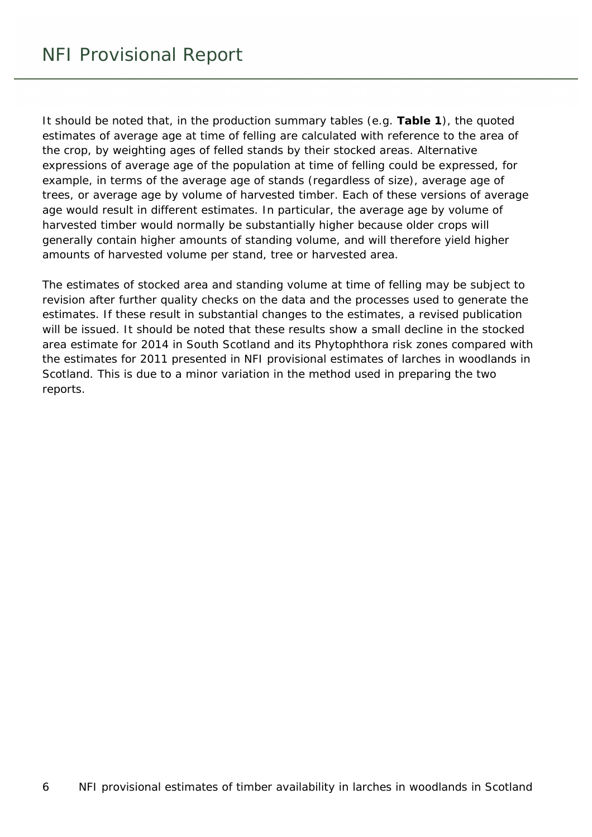It should be noted that, in the production summary tables (e.g. **Table 1**), the quoted estimates of average age at time of felling are calculated with reference to the area of the crop, by weighting ages of felled stands by their stocked areas. Alternative expressions of average age of the population at time of felling could be expressed, for example, in terms of the average age of stands (regardless of size), average age of trees, or average age by volume of harvested timber. Each of these versions of average age would result in different estimates. In particular, the average age by volume of harvested timber would normally be substantially higher because older crops will generally contain higher amounts of standing volume, and will therefore yield higher amounts of harvested volume per stand, tree or harvested area.

The estimates of stocked area and standing volume at time of felling may be subject to revision after further quality checks on the data and the processes used to generate the estimates. If these result in substantial changes to the estimates, a revised publication will be issued. It should be noted that these results show a small decline in the stocked area estimate for 2014 in South Scotland and its Phytophthora risk zones compared with the estimates for 2011 presented in *NFI provisional estimates of larches in woodlands in Scotland*. This is due to a minor variation in the method used in preparing the two reports.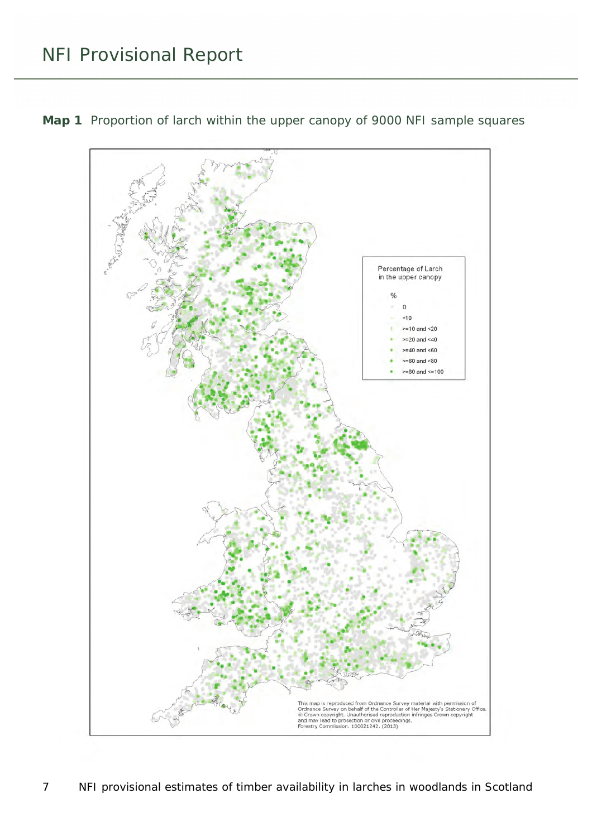<span id="page-6-0"></span>

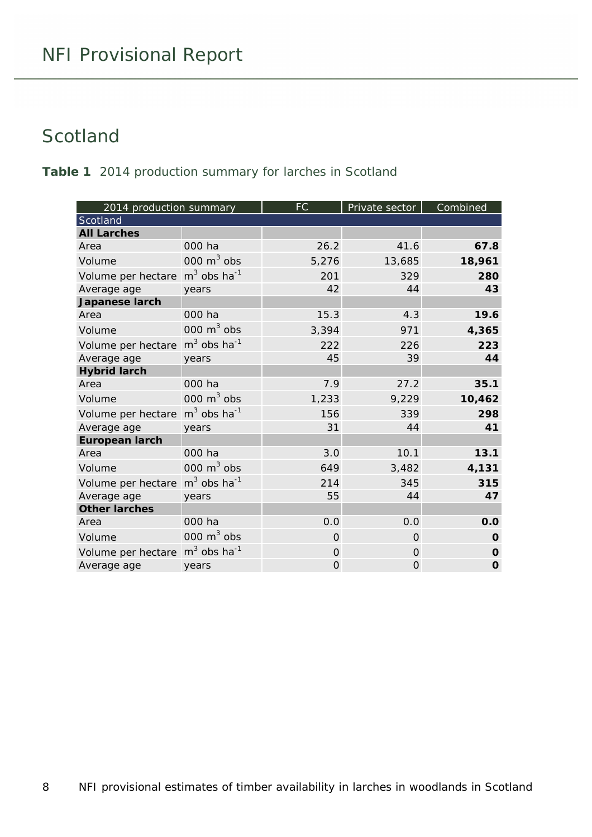#### <span id="page-7-0"></span>**Scotland**

<span id="page-7-1"></span>**Table 1** 2014 production summary for larches in Scotland

| 2014 production summary |                           | FC             | Private sector | Combined    |
|-------------------------|---------------------------|----------------|----------------|-------------|
| Scotland                |                           |                |                |             |
| <b>All Larches</b>      |                           |                |                |             |
| Area                    | 000 ha                    | 26.2           | 41.6           | 67.8        |
| Volume                  | 000 $m3$ obs              | 5,276          | 13,685         | 18,961      |
| Volume per hectare      | $m3$ obs ha <sup>-1</sup> | 201            | 329            | 280         |
| Average age             | years                     | 42             | 44             | 43          |
| Japanese larch          |                           |                |                |             |
| Area                    | 000 ha                    | 15.3           | 4.3            | 19.6        |
| Volume                  | 000 $m3$ obs              | 3,394          | 971            | 4,365       |
| Volume per hectare      | $m3$ obs ha <sup>-1</sup> | 222            | 226            | 223         |
| Average age             | years                     | 45             | 39             | 44          |
| <b>Hybrid larch</b>     |                           |                |                |             |
| Area                    | 000 ha                    | 7.9            | 27.2           | 35.1        |
| Volume                  | 000 $m3$ obs              | 1,233          | 9,229          | 10,462      |
| Volume per hectare      | $m3$ obs ha <sup>-1</sup> | 156            | 339            | 298         |
| Average age             | years                     | 31             | 44             | 41          |
| <b>European larch</b>   |                           |                |                |             |
| Area                    | 000 ha                    | 3.0            | 10.1           | 13.1        |
| Volume                  | 000 $m3$ obs              | 649            | 3,482          | 4,131       |
| Volume per hectare      | $m3$ obs ha <sup>-1</sup> | 214            | 345            | 315         |
| Average age             | years                     | 55             | 44             | 47          |
| <b>Other larches</b>    |                           |                |                |             |
| Area                    | 000 ha                    | 0.0            | 0.0            | 0.0         |
| Volume                  | 000 $m3$ obs              | $\overline{0}$ | $\Omega$       | $\mathbf 0$ |
| Volume per hectare      | $m3$ obs ha <sup>-1</sup> | $\Omega$       | $\Omega$       | $\mathbf 0$ |
| Average age             | years                     | $\mathbf{O}$   | $\Omega$       | $\mathbf 0$ |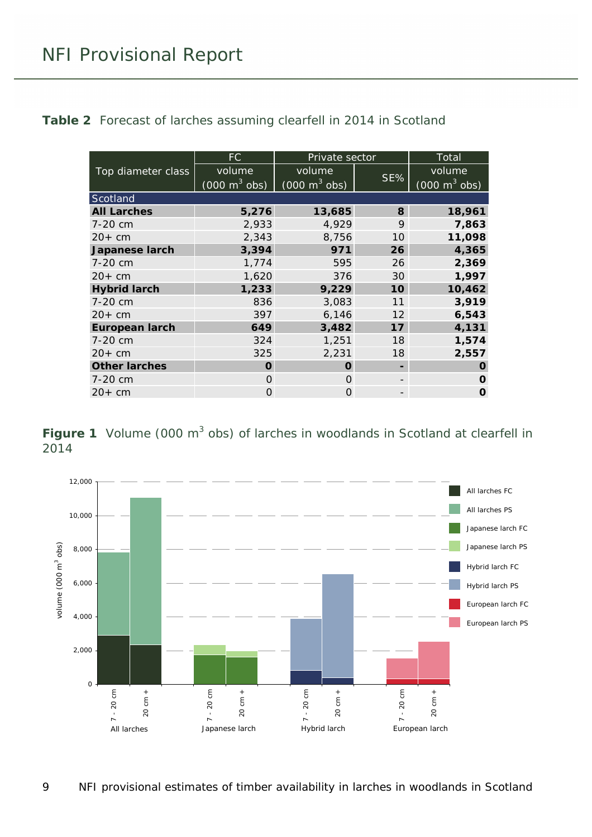<span id="page-8-1"></span>**Table 2** Forecast of larches assuming clearfell in 2014 in Scotland

|                       | FC.                             | Private sector                  |     | Total                           |
|-----------------------|---------------------------------|---------------------------------|-----|---------------------------------|
| Top diameter class    | volume                          | volume                          |     | volume                          |
|                       | $(000 \text{ m}^3 \text{ obs})$ | $(000 \text{ m}^3 \text{ obs})$ | SE% | $(000 \text{ m}^3 \text{ obs})$ |
| Scotland              |                                 |                                 |     |                                 |
| <b>All Larches</b>    | 5,276                           | 13,685                          | 8   | 18,961                          |
| 7-20 cm               | 2,933                           | 4,929                           | 9   | 7,863                           |
| $20+cm$               | 2,343                           | 8,756                           | 10  | 11,098                          |
| Japanese larch        | 3,394                           | 971                             | 26  | 4,365                           |
| 7-20 cm               | 1,774                           | 595                             | 26  | 2,369                           |
| $20+cm$               | 1,620                           | 376                             | 30  | 1,997                           |
| <b>Hybrid larch</b>   | 1,233                           | 9,229                           | 10  | 10,462                          |
| 7-20 cm               | 836                             | 3,083                           | 11  | 3,919                           |
| $20+cm$               | 397                             | 6,146                           | 12  | 6,543                           |
| <b>European larch</b> | 649                             | 3,482                           | 17  | 4,131                           |
| 7-20 cm               | 324                             | 1,251                           | 18  | 1,574                           |
| $20+cm$               | 325                             | 2,231                           | 18  | 2,557                           |
| <b>Other larches</b>  | O                               | O                               |     | O                               |
| 7-20 cm               | $\Omega$                        | O                               |     | O                               |
| $20+cm$               | 0                               | O                               |     | O                               |

<span id="page-8-0"></span>**Figure 1** Volume (000 m<sup>3</sup> obs) of larches in woodlands in Scotland at clearfell in 2014

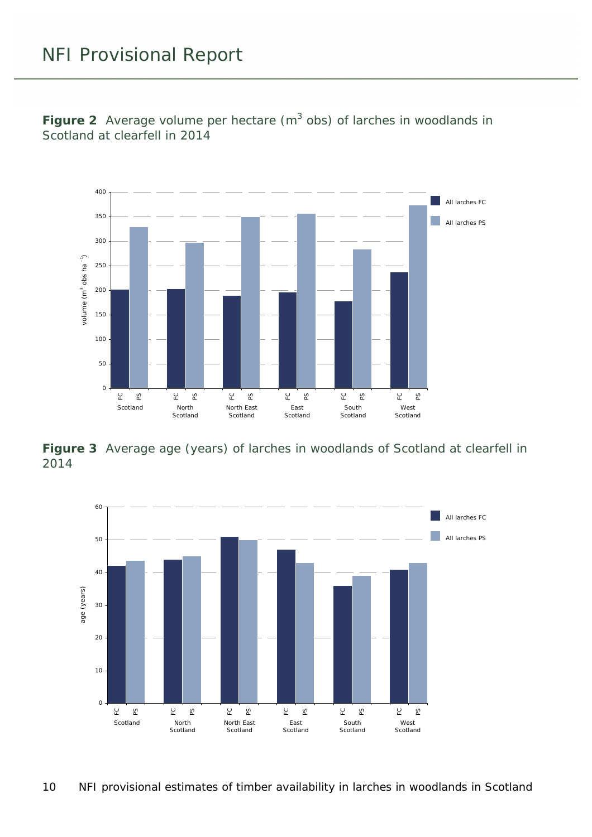<span id="page-9-0"></span>**Figure 2** Average volume per hectare  $(m^3 \text{ obs})$  of larches in woodlands in Scotland at clearfell in 2014



<span id="page-9-1"></span>**Figure 3** Average age (years) of larches in woodlands of Scotland at clearfell in 2014

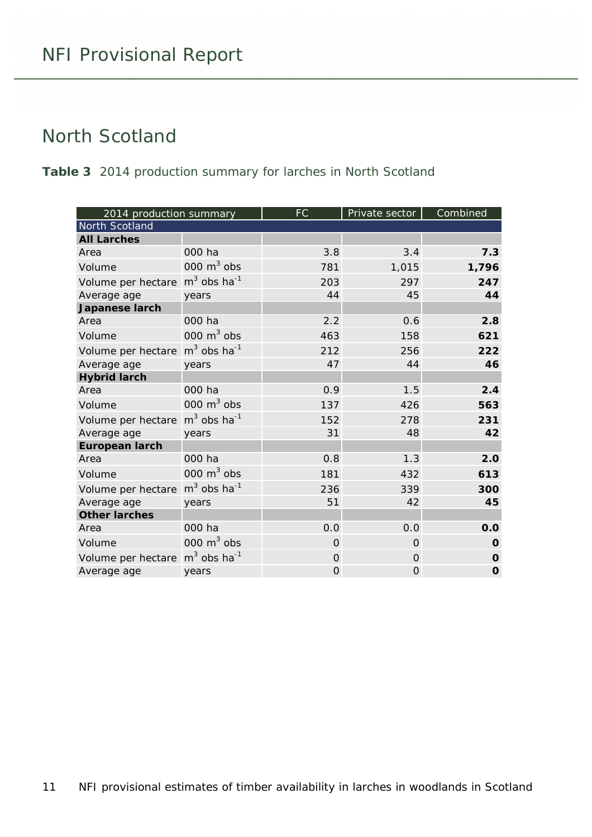#### <span id="page-10-0"></span>North Scotland

<span id="page-10-1"></span>**Table 3** 2014 production summary for larches in North Scotland

| 2014 production summary |                           | FC.            | Private sector | Combined    |
|-------------------------|---------------------------|----------------|----------------|-------------|
| North Scotland          |                           |                |                |             |
| <b>All Larches</b>      |                           |                |                |             |
| Area                    | 000 ha                    | 3.8            | 3.4            | 7.3         |
| Volume                  | 000 $m3$ obs              | 781            | 1,015          | 1,796       |
| Volume per hectare      | $m3$ obs ha <sup>-1</sup> | 203            | 297            | 247         |
| Average age             | years                     | 44             | 45             | 44          |
| Japanese larch          |                           |                |                |             |
| Area                    | 000 ha                    | 2.2            | 0.6            | 2.8         |
| Volume                  | 000 $m3$ obs              | 463            | 158            | 621         |
| Volume per hectare      | $m3$ obs ha <sup>-1</sup> | 212            | 256            | 222         |
| Average age             | years                     | 47             | 44             | 46          |
| <b>Hybrid larch</b>     |                           |                |                |             |
| Area                    | 000 ha                    | 0.9            | 1.5            | 2.4         |
| Volume                  | 000 $m3$ obs              | 137            | 426            | 563         |
| Volume per hectare      | $m3$ obs ha <sup>-1</sup> | 152            | 278            | 231         |
| Average age             | years                     | 31             | 48             | 42          |
| <b>European larch</b>   |                           |                |                |             |
| Area                    | 000 ha                    | 0.8            | 1.3            | 2.0         |
| Volume                  | 000 $m3$ obs              | 181            | 432            | 613         |
| Volume per hectare      | $m3$ obs ha <sup>-1</sup> | 236            | 339            | 300         |
| Average age             | years                     | 51             | 42             | 45          |
| <b>Other larches</b>    |                           |                |                |             |
| Area                    | 000 ha                    | 0.0            | 0.0            | 0.0         |
| Volume                  | 000 $m3$ obs              | $\Omega$       | $\Omega$       | $\mathbf 0$ |
| Volume per hectare      | $m3$ obs ha <sup>-1</sup> | $\Omega$       | $\Omega$       | $\mathbf 0$ |
| Average age             | years                     | $\overline{O}$ | 0              | $\mathbf 0$ |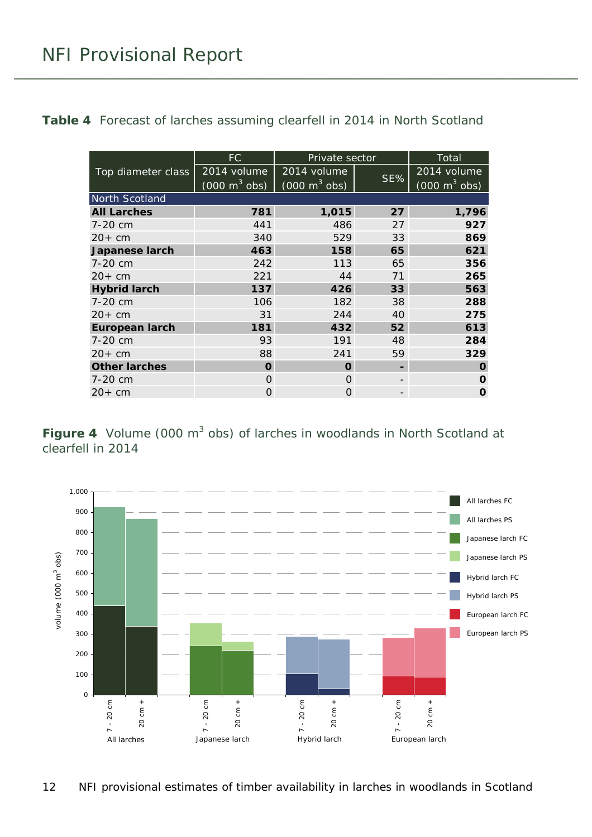<span id="page-11-1"></span>**Table 4** Forecast of larches assuming clearfell in 2014 in North Scotland

|                       | FC.                             | Private sector                  |     | <b>Total</b>                    |
|-----------------------|---------------------------------|---------------------------------|-----|---------------------------------|
| Top diameter class    | 2014 volume                     | 2014 volume                     |     | 2014 volume                     |
|                       | $(000 \text{ m}^3 \text{ obs})$ | $(000 \text{ m}^3 \text{ obs})$ | SE% | $(000 \text{ m}^3 \text{ obs})$ |
| North Scotland        |                                 |                                 |     |                                 |
| <b>All Larches</b>    | 781                             | 1,015                           | 27  | 1,796                           |
| 7-20 cm               | 441                             | 486                             | 27  | 927                             |
| $20+cm$               | 340                             | 529                             | 33  | 869                             |
| <b>Japanese larch</b> | 463                             | 158                             | 65  | 621                             |
| 7-20 cm               | 242                             | 113                             | 65  | 356                             |
| $20+cm$               | 221                             | 44                              | 71  | 265                             |
| <b>Hybrid larch</b>   | 137                             | 426                             | 33  | 563                             |
| 7-20 cm               | 106                             | 182                             | 38  | 288                             |
| $20+cm$               | 31                              | 244                             | 40  | 275                             |
| <b>European larch</b> | 181                             | 432                             | 52  | 613                             |
| 7-20 cm               | 93                              | 191                             | 48  | 284                             |
| $20+cm$               | 88                              | 241                             | 59  | 329                             |
| <b>Other larches</b>  | O                               | O                               |     | O                               |
| 7-20 cm               | $\Omega$                        | $\Omega$                        |     | $\Omega$                        |
| $20+cm$               | Ο                               | $\Omega$                        |     | O                               |

<span id="page-11-0"></span>**Figure 4** Volume (000 m<sup>3</sup> obs) of larches in woodlands in North Scotland at clearfell in 2014

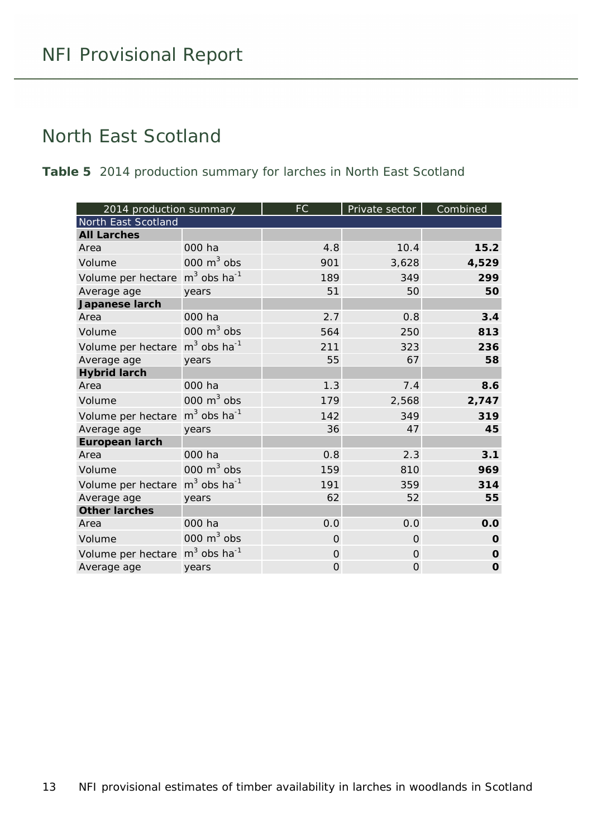#### <span id="page-12-0"></span>North East Scotland

<span id="page-12-1"></span>**Table 5** 2014 production summary for larches in North East Scotland

| 2014 production summary |                           | <b>FC</b> | Private sector | Combined    |
|-------------------------|---------------------------|-----------|----------------|-------------|
| North East Scotland     |                           |           |                |             |
| <b>All Larches</b>      |                           |           |                |             |
| Area                    | 000 ha                    | 4.8       | 10.4           | 15.2        |
| Volume                  | 000 $m3$ obs              | 901       | 3,628          | 4,529       |
| Volume per hectare      | $m3$ obs ha <sup>-1</sup> | 189       | 349            | 299         |
| Average age             | years                     | 51        | 50             | 50          |
| Japanese larch          |                           |           |                |             |
| Area                    | 000 ha                    | 2.7       | 0.8            | 3.4         |
| Volume                  | 000 $m3$ obs              | 564       | 250            | 813         |
| Volume per hectare      | $m3$ obs ha <sup>-1</sup> | 211       | 323            | 236         |
| Average age             | years                     | 55        | 67             | 58          |
| <b>Hybrid larch</b>     |                           |           |                |             |
| Area                    | 000 ha                    | 1.3       | 7.4            | 8.6         |
| Volume                  | 000 $m^3$ obs             | 179       | 2,568          | 2,747       |
| Volume per hectare      | $m3$ obs ha <sup>-1</sup> | 142       | 349            | 319         |
| Average age             | years                     | 36        | 47             | 45          |
| <b>European larch</b>   |                           |           |                |             |
| Area                    | 000 ha                    | 0.8       | 2.3            | 3.1         |
| Volume                  | 000 $m3$ obs              | 159       | 810            | 969         |
| Volume per hectare      | $m3$ obs ha <sup>-1</sup> | 191       | 359            | 314         |
| Average age             | years                     | 62        | 52             | 55          |
| <b>Other larches</b>    |                           |           |                |             |
| Area                    | 000 ha                    | 0.0       | 0.0            | 0.0         |
| Volume                  | 000 $m^3$ obs             | $\Omega$  | $\Omega$       | O           |
| Volume per hectare      | $m3$ obs ha <sup>-1</sup> | $\Omega$  | $\Omega$       | $\Omega$    |
| Average age             | years                     | 0         | 0              | $\mathbf 0$ |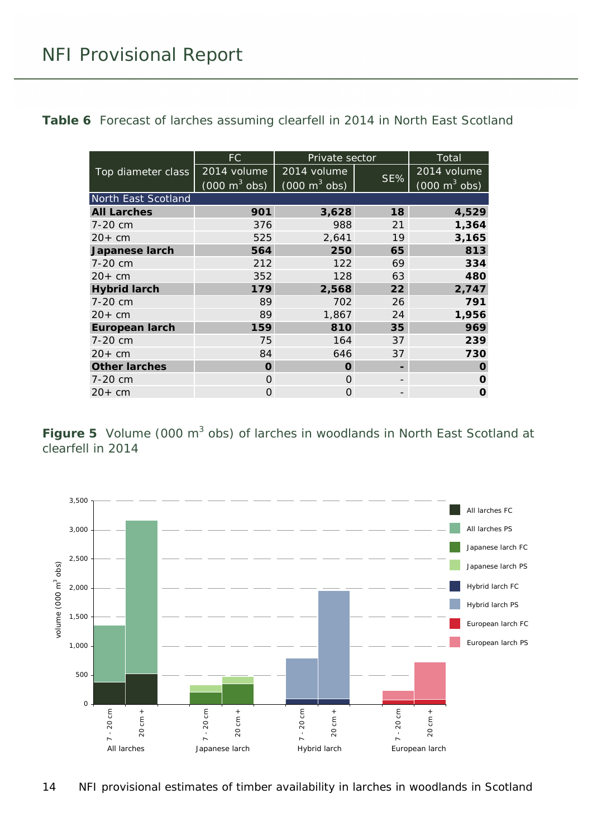<span id="page-13-1"></span>**Table 6** Forecast of larches assuming clearfell in 2014 in North East Scotland

|                       | FC                              | Private sector                  |     | Total                           |
|-----------------------|---------------------------------|---------------------------------|-----|---------------------------------|
| Top diameter class    | 2014 volume                     | 2014 volume                     |     | 2014 volume                     |
|                       | $(000 \text{ m}^3 \text{ obs})$ | $(000 \text{ m}^3 \text{ obs})$ | SE% | $(000 \text{ m}^3 \text{ obs})$ |
| North East Scotland   |                                 |                                 |     |                                 |
| <b>All Larches</b>    | 901                             | 3,628                           | 18  | 4,529                           |
| 7-20 cm               | 376                             | 988                             | 21  | 1,364                           |
| $20+$ cm              | 525                             | 2,641                           | 19  | 3,165                           |
| Japanese larch        | 564                             | 250                             | 65  | 813                             |
| 7-20 cm               | 212                             | 122                             | 69  | 334                             |
| $20+cm$               | 352                             | 128                             | 63  | 480                             |
| <b>Hybrid larch</b>   | 179                             | 2,568                           | 22  | 2,747                           |
| 7-20 cm               | 89                              | 702                             | 26  | 791                             |
| $20+cm$               | 89                              | 1,867                           | 24  | 1,956                           |
| <b>European larch</b> | 159                             | 810                             | 35  | 969                             |
| 7-20 cm               | 75                              | 164                             | 37  | 239                             |
| $20+cm$               | 84                              | 646                             | 37  | 730                             |
| <b>Other larches</b>  | O                               | O                               |     | O                               |
| 7-20 cm               | O                               | O                               |     | O                               |
| $20+cm$               | Ω                               | 0                               |     | O                               |

<span id="page-13-0"></span>**Figure 5** Volume (000 m<sup>3</sup> obs) of larches in woodlands in North East Scotland at clearfell in 2014

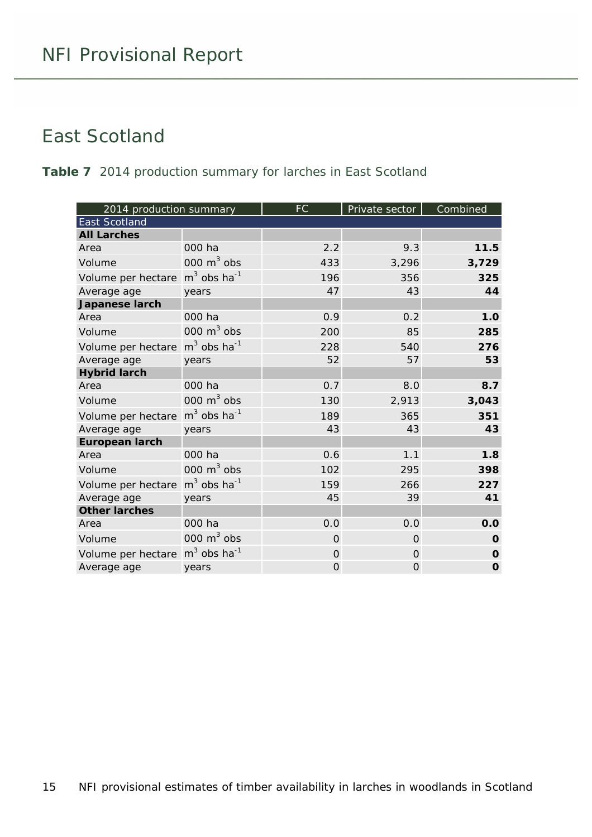#### <span id="page-14-0"></span>East Scotland

#### <span id="page-14-1"></span>**Table 7** 2014 production summary for larches in East Scotland

| 2014 production summary |                           | <b>FC</b>      | Private sector | Combined    |
|-------------------------|---------------------------|----------------|----------------|-------------|
| <b>East Scotland</b>    |                           |                |                |             |
| <b>All Larches</b>      |                           |                |                |             |
| Area                    | 000 ha                    | 2.2            | 9.3            | 11.5        |
| Volume                  | 000 $m3$ obs              | 433            | 3,296          | 3,729       |
| Volume per hectare      | $m3$ obs ha <sup>-1</sup> | 196            | 356            | 325         |
| Average age             | years                     | 47             | 43             | 44          |
| Japanese larch          |                           |                |                |             |
| Area                    | 000 ha                    | 0.9            | 0.2            | 1.0         |
| Volume                  | 000 $m3$ obs              | 200            | 85             | 285         |
| Volume per hectare      | $m3$ obs ha <sup>-1</sup> | 228            | 540            | 276         |
| Average age             | years                     | 52             | 57             | 53          |
| <b>Hybrid larch</b>     |                           |                |                |             |
| Area                    | 000 ha                    | 0.7            | 8.0            | 8.7         |
| Volume                  | 000 $m^3$ obs             | 130            | 2,913          | 3,043       |
| Volume per hectare      | $m3$ obs ha <sup>-1</sup> | 189            | 365            | 351         |
| Average age             | years                     | 43             | 43             | 43          |
| <b>European larch</b>   |                           |                |                |             |
| Area                    | 000 ha                    | 0.6            | 1.1            | 1.8         |
| Volume                  | 000 $m3$ obs              | 102            | 295            | 398         |
| Volume per hectare      | $m3$ obs ha <sup>-1</sup> | 159            | 266            | 227         |
| Average age             | years                     | 45             | 39             | 41          |
| <b>Other larches</b>    |                           |                |                |             |
| Area                    | 000 ha                    | 0.0            | 0.0            | 0.0         |
| Volume                  | 000 $m3$ obs              | $\overline{O}$ | $\Omega$       | $\mathbf 0$ |
| Volume per hectare      | $m3$ obs ha <sup>-1</sup> | $\Omega$       | $\Omega$       | $\mathbf 0$ |
| Average age             | years                     | 0              | 0              | $\mathbf 0$ |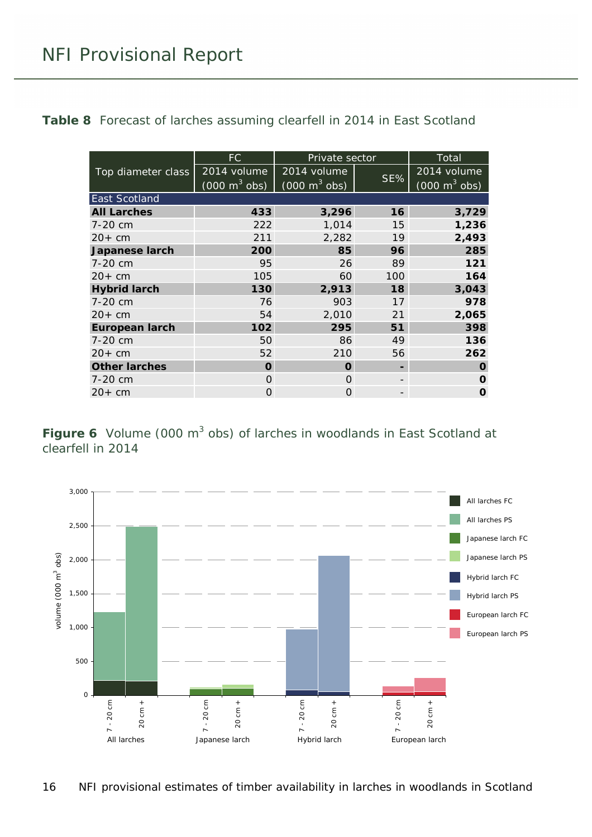<span id="page-15-1"></span>**Table 8** Forecast of larches assuming clearfell in 2014 in East Scotland

|                       | FC.                             | Private sector                  |     | Total                           |
|-----------------------|---------------------------------|---------------------------------|-----|---------------------------------|
| Top diameter class    | 2014 volume                     | 2014 volume                     |     | 2014 volume                     |
|                       | $(000 \text{ m}^3 \text{ obs})$ | $(000 \text{ m}^3 \text{ obs})$ | SE% | $(000 \text{ m}^3 \text{ obs})$ |
| <b>East Scotland</b>  |                                 |                                 |     |                                 |
| <b>All Larches</b>    | 433                             | 3,296                           | 16  | 3,729                           |
| 7-20 cm               | 222                             | 1,014                           | 15  | 1,236                           |
| $20+$ cm              | 211                             | 2,282                           | 19  | 2,493                           |
| <b>Japanese larch</b> | 200                             | 85                              | 96  | 285                             |
| 7-20 cm               | 95                              | 26                              | 89  | 121                             |
| $20+$ cm              | 105                             | 60                              | 100 | 164                             |
| <b>Hybrid larch</b>   | 130                             | 2,913                           | 18  | 3,043                           |
| 7-20 cm               | 76                              | 903                             | 17  | 978                             |
| $20+cm$               | 54                              | 2,010                           | 21  | 2,065                           |
| <b>European larch</b> | 102                             | 295                             | 51  | 398                             |
| 7-20 cm               | 50                              | 86                              | 49  | 136                             |
| $20+$ cm              | 52                              | 210                             | 56  | 262                             |
| <b>Other larches</b>  | O                               | O                               |     | O                               |
| 7-20 cm               | O                               | $\Omega$                        |     | O                               |
| $20+cm$               | Ο                               | $\Omega$                        |     | O                               |

<span id="page-15-0"></span>**Figure 6** Volume (000 m<sup>3</sup> obs) of larches in woodlands in East Scotland at clearfell in 2014

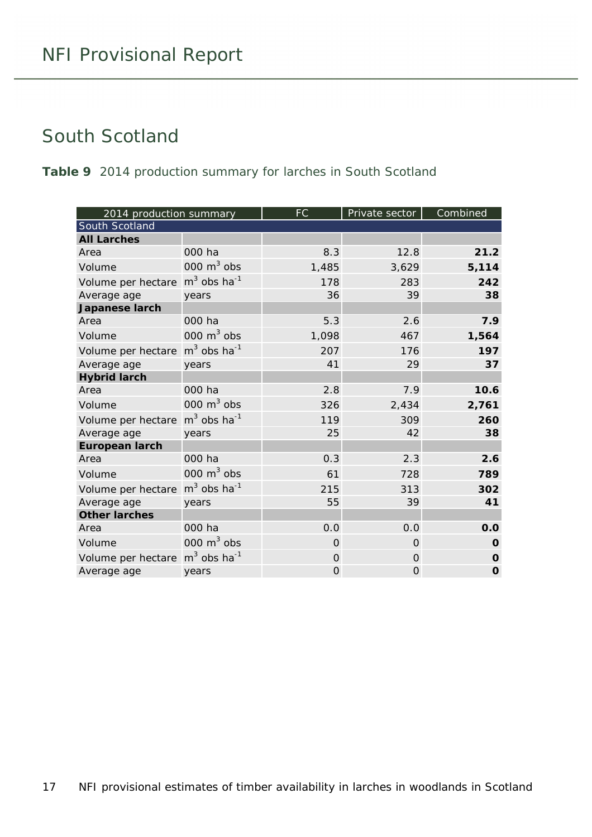#### <span id="page-16-0"></span>South Scotland

<span id="page-16-1"></span>**Table 9** 2014 production summary for larches in South Scotland

| 2014 production summary |                           | <b>FC</b> | Private sector | Combined    |
|-------------------------|---------------------------|-----------|----------------|-------------|
| South Scotland          |                           |           |                |             |
| <b>All Larches</b>      |                           |           |                |             |
| Area                    | 000 ha                    | 8.3       | 12.8           | 21.2        |
| Volume                  | 000 $m3$ obs              | 1,485     | 3,629          | 5,114       |
| Volume per hectare      | $m3$ obs ha <sup>-1</sup> | 178       | 283            | 242         |
| Average age             | years                     | 36        | 39             | 38          |
| Japanese larch          |                           |           |                |             |
| Area                    | 000 ha                    | 5.3       | 2.6            | 7.9         |
| Volume                  | 000 $m3$ obs              | 1,098     | 467            | 1,564       |
| Volume per hectare      | $m3$ obs ha <sup>-1</sup> | 207       | 176            | 197         |
| Average age             | years                     | 41        | 29             | 37          |
| <b>Hybrid larch</b>     |                           |           |                |             |
| Area                    | 000 ha                    | 2.8       | 7.9            | 10.6        |
| Volume                  | 000 $m3$ obs              | 326       | 2,434          | 2,761       |
| Volume per hectare      | $m3$ obs ha <sup>-1</sup> | 119       | 309            | 260         |
| Average age             | years                     | 25        | 42             | 38          |
| <b>European larch</b>   |                           |           |                |             |
| Area                    | 000 ha                    | 0.3       | 2.3            | 2.6         |
| Volume                  | 000 $m3$ obs              | 61        | 728            | 789         |
| Volume per hectare      | $m3$ obs ha <sup>-1</sup> | 215       | 313            | 302         |
| Average age             | years                     | 55        | 39             | 41          |
| <b>Other larches</b>    |                           |           |                |             |
| Area                    | 000 ha                    | 0.0       | 0.0            | 0.0         |
| Volume                  | 000 $m3$ obs              | $\Omega$  | $\Omega$       | $\mathbf 0$ |
| Volume per hectare      | $m3$ obs ha <sup>-1</sup> | 0         | $\Omega$       | $\mathbf 0$ |
| Average age             | years                     | 0         | 0              | $\mathbf 0$ |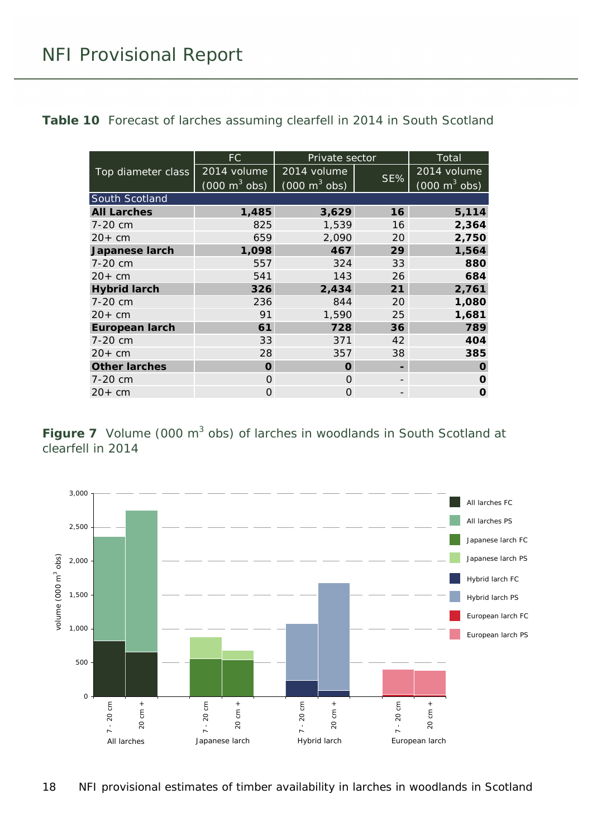<span id="page-17-1"></span>Table 10 Forecast of larches assuming clearfell in 2014 in South Scotland

|                       | FC.                             | Private sector                  |     | Total                           |
|-----------------------|---------------------------------|---------------------------------|-----|---------------------------------|
| Top diameter class    | 2014 volume                     | 2014 volume                     |     | 2014 volume                     |
|                       | $(000 \text{ m}^3 \text{ obs})$ | $(000 \text{ m}^3 \text{ obs})$ | SE% | $(000 \text{ m}^3 \text{ obs})$ |
| South Scotland        |                                 |                                 |     |                                 |
| <b>All Larches</b>    | 1,485                           | 3,629                           | 16  | 5,114                           |
| 7-20 cm               | 825                             | 1,539                           | 16  | 2,364                           |
| $20+cm$               | 659                             | 2,090                           | 20  | 2,750                           |
| <b>Japanese larch</b> | 1,098                           | 467                             | 29  | 1,564                           |
| 7-20 cm               | 557                             | 324                             | 33  | 880                             |
| $20+cm$               | 541                             | 143                             | 26  | 684                             |
| <b>Hybrid larch</b>   | 326                             | 2,434                           | 21  | 2,761                           |
| $7 - 20$ cm           | 236                             | 844                             | 20  | 1,080                           |
| $20+$ cm              | 91                              | 1,590                           | 25  | 1,681                           |
| <b>European larch</b> | 61                              | 728                             | 36  | 789                             |
| 7-20 cm               | 33                              | 371                             | 42  | 404                             |
| $20+cm$               | 28                              | 357                             | 38  | 385                             |
| <b>Other larches</b>  | O                               | O                               |     | O                               |
| 7-20 cm               | O                               | $\Omega$                        |     | O                               |
| $20+cm$               | Ω                               | O                               |     | O                               |

<span id="page-17-0"></span>**Figure 7** Volume (000 m<sup>3</sup> obs) of larches in woodlands in South Scotland at clearfell in 2014

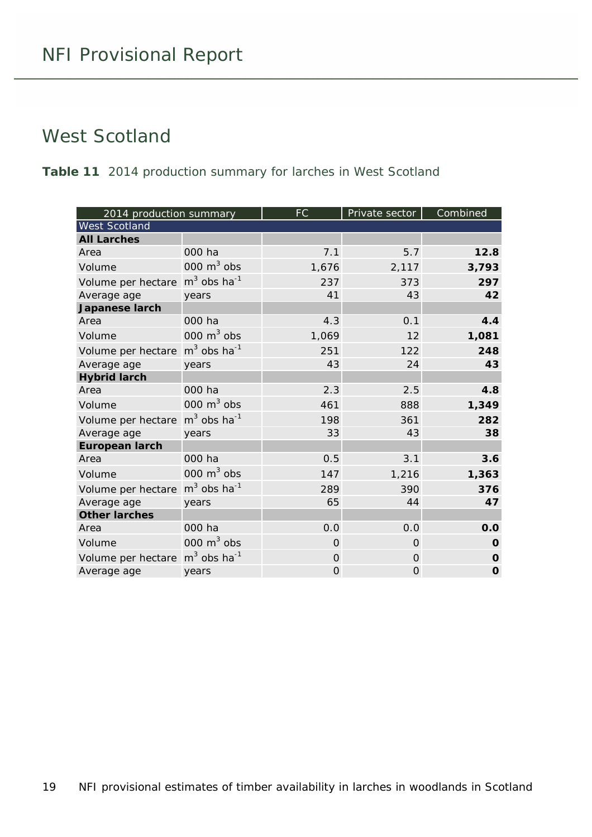#### <span id="page-18-0"></span>West Scotland

<span id="page-18-1"></span>**Table 11** 2014 production summary for larches in West Scotland

| 2014 production summary |                           | <b>FC</b> | Private sector | Combined    |
|-------------------------|---------------------------|-----------|----------------|-------------|
| <b>West Scotland</b>    |                           |           |                |             |
| <b>All Larches</b>      |                           |           |                |             |
| Area                    | 000 ha                    | 7.1       | 5.7            | 12.8        |
| Volume                  | 000 $m3$ obs              | 1,676     | 2,117          | 3,793       |
| Volume per hectare      | $m3$ obs ha <sup>-1</sup> | 237       | 373            | 297         |
| Average age             | years                     | 41        | 43             | 42          |
| Japanese larch          |                           |           |                |             |
| Area                    | 000 ha                    | 4.3       | 0.1            | 4.4         |
| Volume                  | 000 $m3$ obs              | 1,069     | 12             | 1,081       |
| Volume per hectare      | $m3$ obs ha <sup>-1</sup> | 251       | 122            | 248         |
| Average age             | years                     | 43        | 24             | 43          |
| <b>Hybrid larch</b>     |                           |           |                |             |
| Area                    | 000 ha                    | 2.3       | 2.5            | 4.8         |
| Volume                  | 000 $m3$ obs              | 461       | 888            | 1,349       |
| Volume per hectare      | $m3$ obs ha <sup>-1</sup> | 198       | 361            | 282         |
| Average age             | years                     | 33        | 43             | 38          |
| <b>European larch</b>   |                           |           |                |             |
| Area                    | 000 ha                    | 0.5       | 3.1            | 3.6         |
| Volume                  | 000 $m3$ obs              | 147       | 1,216          | 1,363       |
| Volume per hectare      | $m3$ obs ha <sup>-1</sup> | 289       | 390            | 376         |
| Average age             | years                     | 65        | 44             | 47          |
| <b>Other larches</b>    |                           |           |                |             |
| Area                    | 000 ha                    | 0.0       | 0.0            | 0.0         |
| Volume                  | 000 $m3$ obs              | $\Omega$  | $\Omega$       | O           |
| Volume per hectare      | $m3$ obs ha <sup>-1</sup> | 0         | $\Omega$       | $\mathbf 0$ |
| Average age             | years                     | 0         | 0              | $\mathbf 0$ |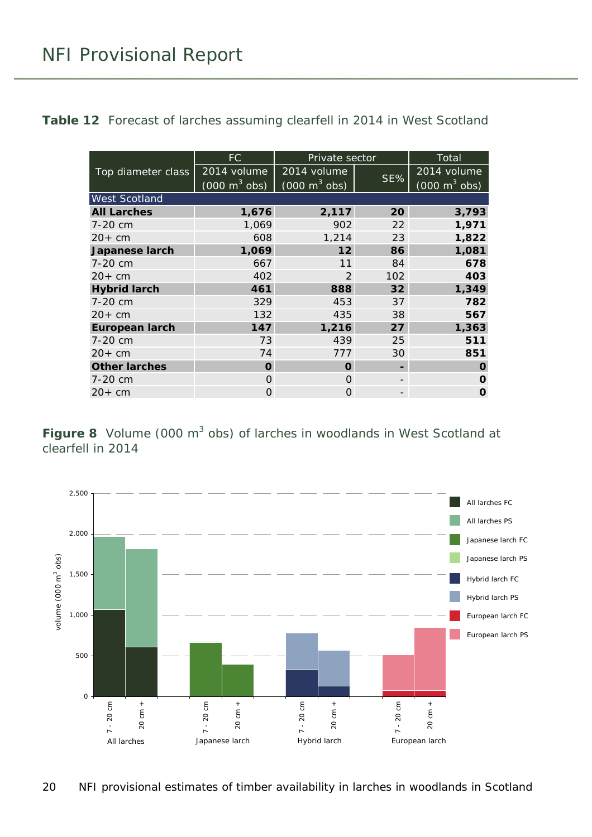<span id="page-19-1"></span>**Table 12** Forecast of larches assuming clearfell in 2014 in West Scotland

|                       | FC.                             | Private sector                  |     | <b>Total</b>                    |
|-----------------------|---------------------------------|---------------------------------|-----|---------------------------------|
| Top diameter class    | 2014 volume                     | 2014 volume                     | SE% | 2014 volume                     |
|                       | $(000 \text{ m}^3 \text{ obs})$ | $(000 \text{ m}^3 \text{ obs})$ |     | $(000 \text{ m}^3 \text{ obs})$ |
| <b>West Scotland</b>  |                                 |                                 |     |                                 |
| <b>All Larches</b>    | 1,676                           | 2,117                           | 20  | 3,793                           |
| 7-20 cm               | 1,069                           | 902                             | 22  | 1,971                           |
| $20+$ cm              | 608                             | 1,214                           | 23  | 1,822                           |
| <b>Japanese larch</b> | 1,069                           | 12                              | 86  | 1,081                           |
| 7-20 cm               | 667                             | 11                              | 84  | 678                             |
| $20+$ cm              | 402                             | $\mathcal{P}$                   | 102 | 403                             |
| <b>Hybrid larch</b>   | 461                             | 888                             | 32  | 1,349                           |
| 7-20 cm               | 329                             | 453                             | 37  | 782                             |
| $20+$ cm              | 132                             | 435                             | 38  | 567                             |
| <b>European larch</b> | 147                             | 1,216                           | 27  | 1,363                           |
| 7-20 cm               | 73                              | 439                             | 25  | 511                             |
| $20+cm$               | 74                              | 777                             | 30  | 851                             |
| <b>Other larches</b>  | O                               | O                               |     | O                               |
| 7-20 cm               | $\Omega$                        | $\Omega$                        |     | O                               |
| $20+cm$               | Ο                               | $\Omega$                        |     | O                               |

<span id="page-19-0"></span>**Figure 8** Volume (000 m<sup>3</sup> obs) of larches in woodlands in West Scotland at clearfell in 2014

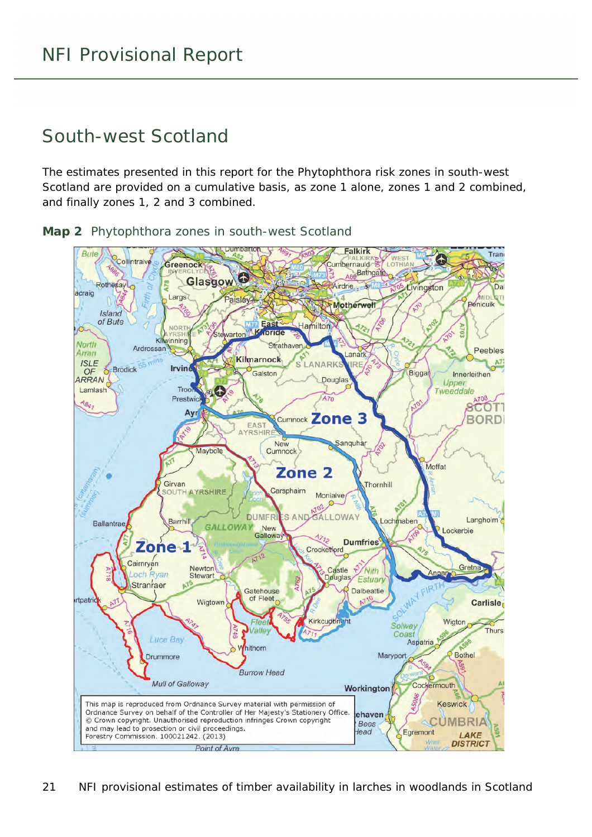#### <span id="page-20-0"></span>South-west Scotland

The estimates presented in this report for the Phytophthora risk zones in south-west Scotland are provided on a cumulative basis, as zone 1 alone, zones 1 and 2 combined, and finally zones 1, 2 and 3 combined.

<span id="page-20-1"></span>**Map 2** Phytophthora zones in south-west Scotland

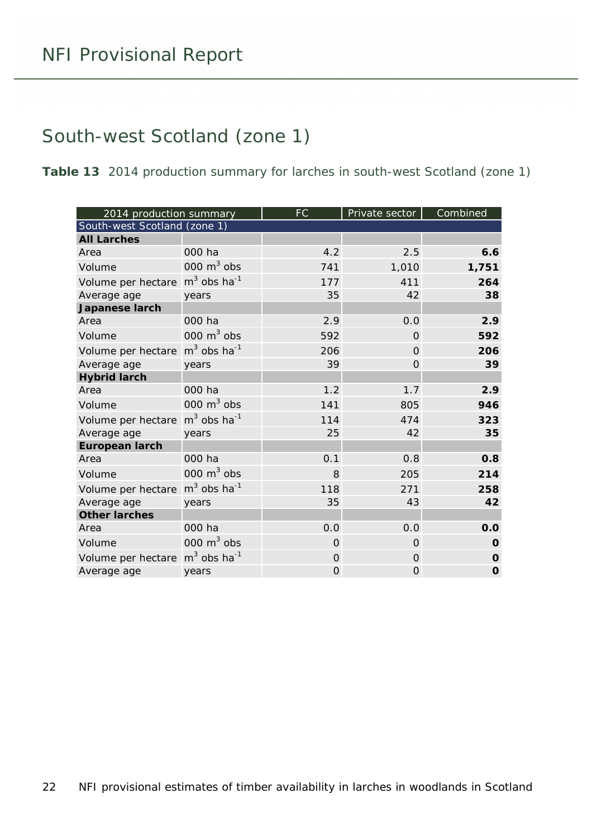#### <span id="page-21-0"></span>South-west Scotland (zone 1)

<span id="page-21-1"></span>**Table 13** 2014 production summary for larches in south-west Scotland (zone 1)

| 2014 production summary                                |                           | <b>FC</b> | Private sector | Combined    |
|--------------------------------------------------------|---------------------------|-----------|----------------|-------------|
| South-west Scotland (zone 1)                           |                           |           |                |             |
| <b>All Larches</b>                                     |                           |           |                |             |
| Area                                                   | 000 ha                    | 4.2       | 2.5            | 6.6         |
| Volume                                                 | 000 $m3$ obs              | 741       | 1,010          | 1,751       |
| Volume per hectare m <sup>3</sup> obs ha <sup>-1</sup> |                           | 177       | 411            | 264         |
| Average age                                            | years                     | 35        | 42             | 38          |
| Japanese larch                                         |                           |           |                |             |
| Area                                                   | 000 ha                    | 2.9       | 0.0            | 2.9         |
| Volume                                                 | 000 $m^3$ obs             | 592       | $\Omega$       | 592         |
| Volume per hectare                                     | $m3$ obs ha <sup>-1</sup> | 206       | $\Omega$       | 206         |
| Average age                                            | years                     | 39        | 0              | 39          |
| <b>Hybrid larch</b>                                    |                           |           |                |             |
| Area                                                   | 000 ha                    | 1.2       | 1.7            | 2.9         |
| Volume                                                 | 000 $m3$ obs              | 141       | 805            | 946         |
| Volume per hectare                                     | $m3$ obs ha <sup>-1</sup> | 114       | 474            | 323         |
| Average age                                            | years                     | 25        | 42             | 35          |
| <b>European larch</b>                                  |                           |           |                |             |
| Area                                                   | 000 ha                    | 0.1       | 0.8            | 0.8         |
| Volume                                                 | 000 $m3$ obs              | 8         | 205            | 214         |
| Volume per hectare                                     | $m3$ obs ha <sup>-1</sup> | 118       | 271            | 258         |
| Average age                                            | years                     | 35        | 43             | 42          |
| <b>Other larches</b>                                   |                           |           |                |             |
| Area                                                   | 000 ha                    | 0.0       | 0.0            | 0.0         |
| Volume                                                 | 000 $m3$ obs              | $\Omega$  | $\Omega$       | $\mathbf 0$ |
| Volume per hectare                                     | $m3$ obs ha <sup>-1</sup> | 0         | $\Omega$       | $\mathbf 0$ |
| Average age                                            | years                     | 0         | 0              | $\mathbf 0$ |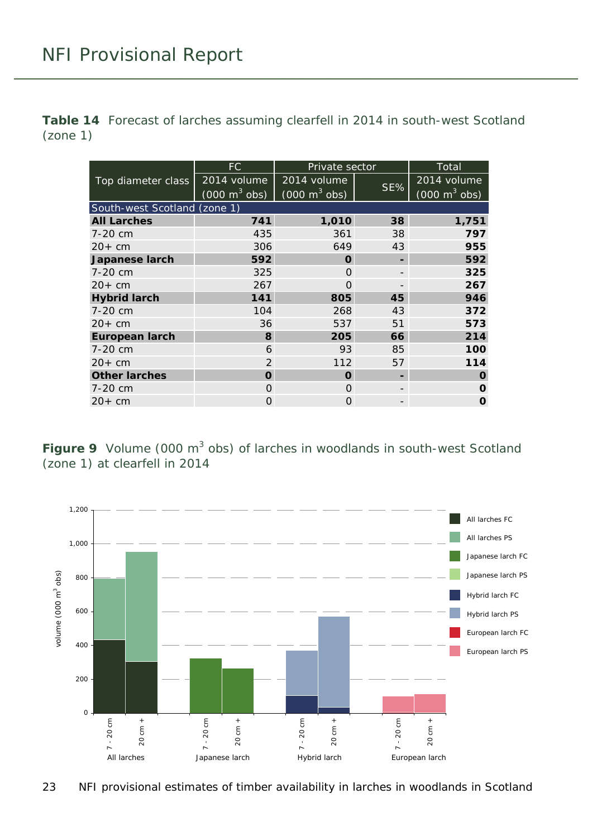<span id="page-22-1"></span>**Table 14** Forecast of larches assuming clearfell in 2014 in south-west Scotland (zone 1)

|                              | FC.                             | Private sector                  |     | Total                           |
|------------------------------|---------------------------------|---------------------------------|-----|---------------------------------|
| Top diameter class           | 2014 volume                     | 2014 volume                     |     | 2014 volume                     |
|                              | $(000 \text{ m}^3 \text{ obs})$ | $(000 \text{ m}^3 \text{ obs})$ | SE% | $(000 \text{ m}^3 \text{ obs})$ |
| South-west Scotland (zone 1) |                                 |                                 |     |                                 |
| <b>All Larches</b>           | 741                             | 1,010                           | 38  | 1,751                           |
| 7-20 cm                      | 435                             | 361                             | 38  | 797                             |
| $20+cm$                      | 306                             | 649                             | 43  | 955                             |
| Japanese larch               | 592                             | O                               |     | 592                             |
| 7-20 cm                      | 325                             | O                               |     | 325                             |
| $20+cm$                      | 267                             | Ω                               |     | 267                             |
| <b>Hybrid larch</b>          | 141                             | 805                             | 45  | 946                             |
| 7-20 cm                      | 104                             | 268                             | 43  | 372                             |
| $20+cm$                      | 36                              | 537                             | 51  | 573                             |
| <b>European larch</b>        | 8                               | 205                             | 66  | 214                             |
| 7-20 cm                      | 6                               | 93                              | 85  | 100                             |
| $20+cm$                      | $\mathcal{P}$                   | 112                             | 57  | 114                             |
| <b>Other larches</b>         | O                               | O                               |     | O                               |
| 7-20 cm                      | O                               | O                               |     | O                               |
| $20+cm$                      | Ω                               | 0                               |     | O                               |

<span id="page-22-0"></span>**Figure 9** Volume (000 m<sup>3</sup> obs) of larches in woodlands in south-west Scotland (zone 1) at clearfell in 2014

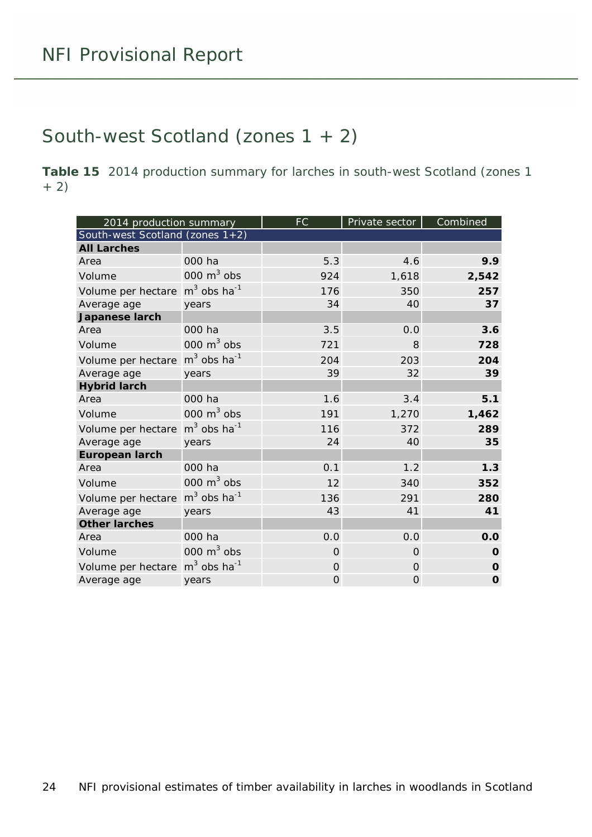#### <span id="page-23-0"></span>South-west Scotland (zones 1 + 2)

<span id="page-23-1"></span>**Table 15** 2014 production summary for larches in south-west Scotland (zones 1 + 2)

| 2014 production summary                                |                           | <b>FC</b> | Private sector | Combined    |
|--------------------------------------------------------|---------------------------|-----------|----------------|-------------|
| South-west Scotland (zones $1+2$ )                     |                           |           |                |             |
| <b>All Larches</b>                                     |                           |           |                |             |
| Area                                                   | 000 ha                    | 5.3       | 4.6            | 9.9         |
| Volume                                                 | 000 $m3$ obs              | 924       | 1,618          | 2,542       |
| Volume per hectare m <sup>3</sup> obs ha <sup>-1</sup> |                           | 176       | 350            | 257         |
| Average age                                            | years                     | 34        | 40             | 37          |
| Japanese larch                                         |                           |           |                |             |
| Area                                                   | 000 ha                    | 3.5       | 0.0            | 3.6         |
| Volume                                                 | 000 $m3$ obs              | 721       | 8              | 728         |
| Volume per hectare                                     | $m3$ obs ha <sup>-1</sup> | 204       | 203            | 204         |
| Average age                                            | years                     | 39        | 32             | 39          |
| <b>Hybrid larch</b>                                    |                           |           |                |             |
| Area                                                   | 000 ha                    | 1.6       | 3.4            | 5.1         |
| Volume                                                 | 000 $m3$ obs              | 191       | 1,270          | 1,462       |
| Volume per hectare                                     | $m3$ obs ha <sup>-1</sup> | 116       | 372            | 289         |
| Average age                                            | years                     | 24        | 40             | 35          |
| <b>European larch</b>                                  |                           |           |                |             |
| Area                                                   | 000 ha                    | 0.1       | 1.2            | 1.3         |
| Volume                                                 | 000 $m3$ obs              | 12        | 340            | 352         |
| Volume per hectare                                     | $m3$ obs ha <sup>-1</sup> | 136       | 291            | 280         |
| Average age                                            | years                     | 43        | 41             | 41          |
| <b>Other larches</b>                                   |                           |           |                |             |
| Area                                                   | 000 ha                    | 0.0       | 0.0            | 0.0         |
| Volume                                                 | 000 $m3$ obs              | $\Omega$  | $\Omega$       | $\mathbf 0$ |
| Volume per hectare m <sup>3</sup> obs ha <sup>-1</sup> |                           | $\Omega$  | $\Omega$       | $\mathbf 0$ |
| Average age                                            | years                     | 0         | 0              | $\mathbf 0$ |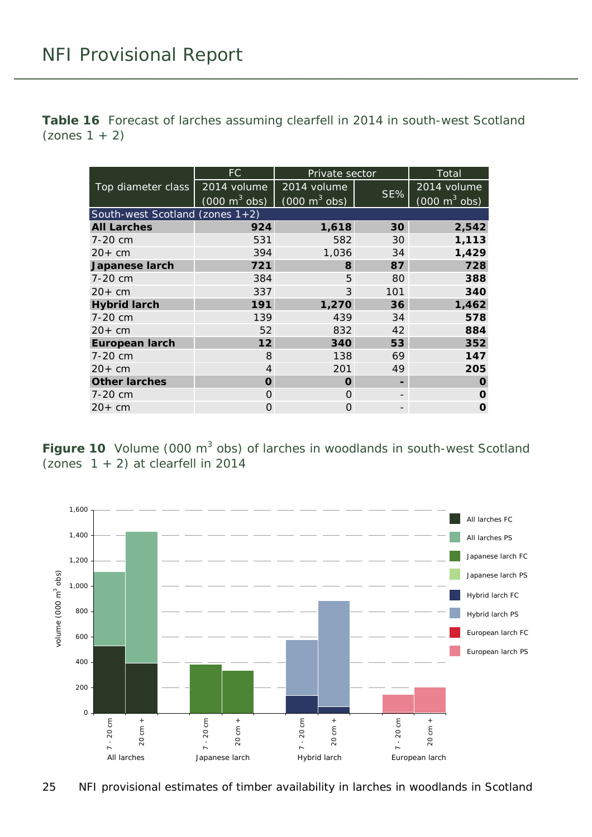<span id="page-24-1"></span>**Table 16** Forecast of larches assuming clearfell in 2014 in south-west Scotland  $($ zones 1 + 2 $)$ 

|                       | FC.                                | Private sector                  |     | Total                           |  |  |
|-----------------------|------------------------------------|---------------------------------|-----|---------------------------------|--|--|
| Top diameter class    | 2014 volume                        | 2014 volume                     |     | 2014 volume                     |  |  |
|                       | $(000 \text{ m}^3 \text{ obs})$    | $(000 \text{ m}^3 \text{ obs})$ | SE% | $(000 \text{ m}^3 \text{ obs})$ |  |  |
|                       | South-west Scotland (zones $1+2$ ) |                                 |     |                                 |  |  |
| <b>All Larches</b>    | 924                                | 1,618                           | 30  | 2,542                           |  |  |
| 7-20 cm               | 531                                | 582                             | 30  | 1,113                           |  |  |
| $20+cm$               | 394                                | 1,036                           | 34  | 1,429                           |  |  |
| Japanese larch        | 721                                | 8                               | 87  | 728                             |  |  |
| 7-20 cm               | 384                                | 5                               | 80  | 388                             |  |  |
| $20+$ cm              | 337                                | 3                               | 101 | 340                             |  |  |
| <b>Hybrid larch</b>   | 191                                | 1,270                           | 36  | 1,462                           |  |  |
| 7-20 cm               | 139                                | 439                             | 34  | 578                             |  |  |
| $20+cm$               | 52                                 | 832                             | 42  | 884                             |  |  |
| <b>European larch</b> | 12                                 | 340                             | 53  | 352                             |  |  |
| 7-20 cm               | 8                                  | 138                             | 69  | 147                             |  |  |
| $20+cm$               | 4                                  | 201                             | 49  | 205                             |  |  |
| <b>Other larches</b>  | O                                  | 0                               |     | O                               |  |  |
| 7-20 cm               | $\cap$                             | $\Omega$                        |     | O                               |  |  |
| $20+cm$               | Ω                                  | O                               |     | O                               |  |  |

<span id="page-24-0"></span>**Figure 10** Volume (000 m<sup>3</sup> obs) of larches in woodlands in south-west Scotland (zones  $1 + 2$ ) at clearfell in 2014

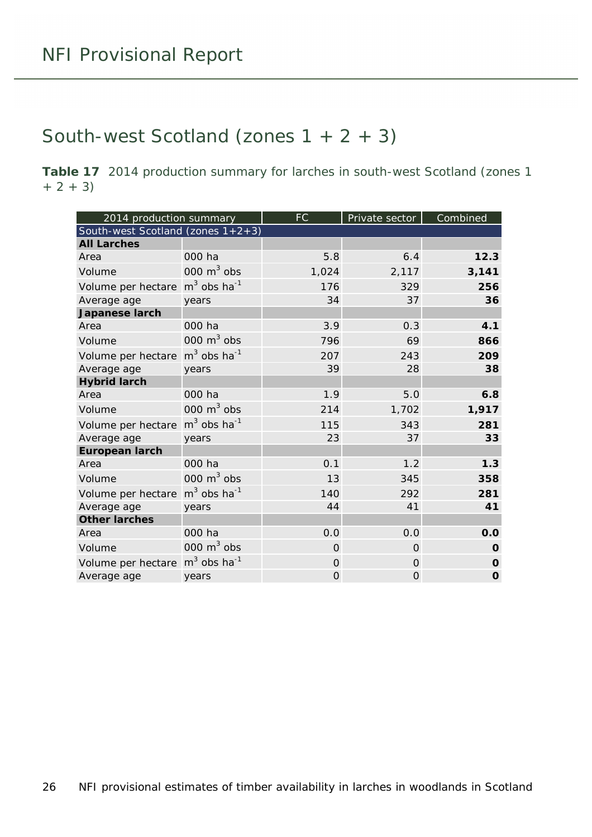#### <span id="page-25-0"></span>South-west Scotland (zones  $1 + 2 + 3$ )

<span id="page-25-1"></span>**Table 17** 2014 production summary for larches in south-west Scotland (zones 1  $+ 2 + 3)$ 

| 2014 production summary                                |                           | <b>FC</b> | Private sector | Combined    |
|--------------------------------------------------------|---------------------------|-----------|----------------|-------------|
| South-west Scotland (zones $1+2+3$ )                   |                           |           |                |             |
| <b>All Larches</b>                                     |                           |           |                |             |
| Area                                                   | 000 ha                    | 5.8       | 6.4            | 12.3        |
| Volume                                                 | 000 $m3$ obs              | 1,024     | 2,117          | 3,141       |
| Volume per hectare                                     | $m3$ obs ha <sup>-1</sup> | 176       | 329            | 256         |
| Average age                                            | years                     | 34        | 37             | 36          |
| Japanese larch                                         |                           |           |                |             |
| Area                                                   | 000 ha                    | 3.9       | 0.3            | 4.1         |
| Volume                                                 | 000 $m3$ obs              | 796       | 69             | 866         |
| Volume per hectare                                     | $m3$ obs ha <sup>-1</sup> | 207       | 243            | 209         |
| Average age                                            | years                     | 39        | 28             | 38          |
| <b>Hybrid larch</b>                                    |                           |           |                |             |
| Area                                                   | 000 ha                    | 1.9       | 5.0            | 6.8         |
| Volume                                                 | 000 $m3$ obs              | 214       | 1,702          | 1,917       |
| Volume per hectare                                     | $m3$ obs ha <sup>-1</sup> | 115       | 343            | 281         |
| Average age                                            | years                     | 23        | 37             | 33          |
| <b>European larch</b>                                  |                           |           |                |             |
| Area                                                   | 000 ha                    | 0.1       | 1.2            | 1.3         |
| Volume                                                 | 000 $m3$ obs              | 13        | 345            | 358         |
| Volume per hectare                                     | $m3$ obs ha <sup>-1</sup> | 140       | 292            | 281         |
| Average age                                            | years                     | 44        | 41             | 41          |
| <b>Other larches</b>                                   |                           |           |                |             |
| Area                                                   | 000 ha                    | 0.0       | 0.0            | 0.0         |
| Volume                                                 | 000 $m3$ obs              | $\Omega$  | $\Omega$       | O           |
| Volume per hectare m <sup>3</sup> obs ha <sup>-1</sup> |                           | $\Omega$  | $\Omega$       | O           |
| Average age                                            | years                     | 0         | $\Omega$       | $\mathbf 0$ |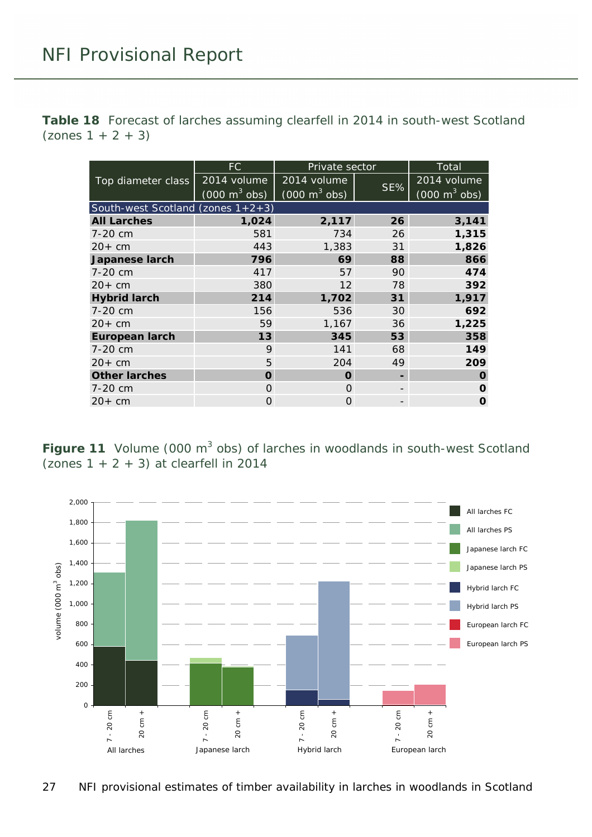<span id="page-26-1"></span>**Table 18** Forecast of larches assuming clearfell in 2014 in south-west Scotland  $($ zones 1 + 2 + 3)

|                                      | FC.                             | Private sector                  |     | Total                           |
|--------------------------------------|---------------------------------|---------------------------------|-----|---------------------------------|
| Top diameter class                   | 2014 volume                     | 2014 volume                     |     | 2014 volume                     |
|                                      | $(000 \text{ m}^3 \text{ obs})$ | $(000 \text{ m}^3 \text{ obs})$ | SE% | $(000 \text{ m}^3 \text{ obs})$ |
| South-west Scotland (zones $1+2+3$ ) |                                 |                                 |     |                                 |
| <b>All Larches</b>                   | 1,024                           | 2,117                           | 26  | 3,141                           |
| 7-20 cm                              | 581                             | 734                             | 26  | 1,315                           |
| $20+cm$                              | 443                             | 1,383                           | 31  | 1,826                           |
| Japanese larch                       | 796                             | 69                              | 88  | 866                             |
| 7-20 cm                              | 417                             | 57                              | 90  | 474                             |
| $20+$ cm                             | 380                             | 12                              | 78  | 392                             |
| <b>Hybrid larch</b>                  | 214                             | 1,702                           | 31  | 1,917                           |
| 7-20 cm                              | 156                             | 536                             | 30  | 692                             |
| $20+cm$                              | 59                              | 1,167                           | 36  | 1,225                           |
| <b>European larch</b>                | 13                              | 345                             | 53  | 358                             |
| 7-20 cm                              | 9                               | 141                             | 68  | 149                             |
| $20+$ cm                             | 5                               | 204                             | 49  | 209                             |
| <b>Other larches</b>                 | Ω                               | O                               |     | O                               |
| 7-20 cm                              | Ω                               | $\Omega$                        |     | O                               |
| $20+cm$                              | Ω                               | 0                               |     | O                               |

<span id="page-26-0"></span>**Figure 11** Volume (000 m<sup>3</sup> obs) of larches in woodlands in south-west Scotland (zones  $1 + 2 + 3$ ) at clearfell in 2014